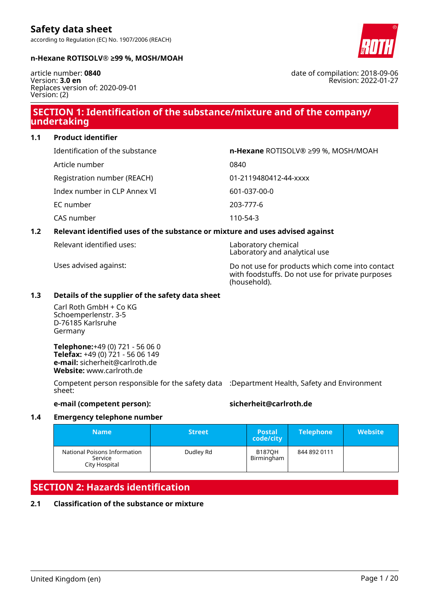### **n-Hexane ROTISOLV® ≥99 %, MOSH/MOAH**

article number: **0840** Version: **3.0 en** Replaces version of: 2020-09-01 Version: (2)

# **SECTION 1: Identification of the substance/mixture and of the company/ undertaking**

**1.1 Product identifier**

| Identification of the substance | n-Hexane ROTISOLV® ≥99 %, MOSH/MOAH |
|---------------------------------|-------------------------------------|
| Article number                  | 0840                                |
| Registration number (REACH)     | 01-2119480412-44-xxxx               |
| Index number in CLP Annex VI    | 601-037-00-0                        |
| EC number                       | 203-777-6                           |
| CAS number                      | 110-54-3                            |

### **1.2 Relevant identified uses of the substance or mixture and uses advised against**

Relevant identified uses: Laboratory chemical

Uses advised against: Do not use for products which come into contact with foodstuffs. Do not use for private purposes (household).

Laboratory and analytical use

### **1.3 Details of the supplier of the safety data sheet**

Carl Roth GmbH + Co KG Schoemperlenstr. 3-5 D-76185 Karlsruhe Germany

**Telephone:**+49 (0) 721 - 56 06 0 **Telefax:** +49 (0) 721 - 56 06 149 **e-mail:** sicherheit@carlroth.de **Website:** www.carlroth.de

Competent person responsible for the safety data :Department Health, Safety and Environment sheet:

# **e-mail (competent person): sicherheit@carlroth.de**

### **1.4 Emergency telephone number**

| <b>Name</b>                                              | <b>Street</b> | <b>Postal</b><br>code/city  | <b>Telephone</b> | <b>Website</b> |
|----------------------------------------------------------|---------------|-----------------------------|------------------|----------------|
| National Poisons Information<br>Service<br>City Hospital | Dudley Rd     | <b>B187OH</b><br>Birmingham | 844 892 0111     |                |

# **SECTION 2: Hazards identification**

### **2.1 Classification of the substance or mixture**



date of compilation: 2018-09-06 Revision: 2022-01-27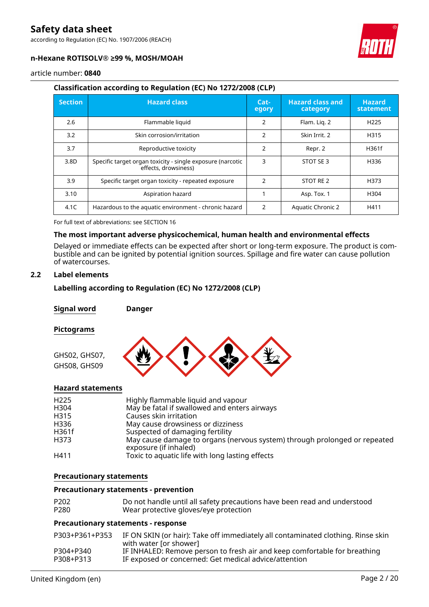according to Regulation (EC) No. 1907/2006 (REACH)



### **n-Hexane ROTISOLV® ≥99 %, MOSH/MOAH**

article number: **0840**

### **Classification according to Regulation (EC) No 1272/2008 (CLP)**

| <b>Section</b> | <b>Hazard class</b>                                                                | $Cat-$<br>egory | <b>Hazard class and</b><br>category | <b>Hazard</b><br>statement |
|----------------|------------------------------------------------------------------------------------|-----------------|-------------------------------------|----------------------------|
| 2.6            | Flammable liquid                                                                   | 2               | Flam. Lig. 2                        | H <sub>225</sub>           |
| 3.2            | Skin corrosion/irritation                                                          | $\mathcal{P}$   | Skin Irrit. 2                       | H315                       |
| 3.7            | Reproductive toxicity                                                              | $\overline{2}$  | Repr. 2                             | H361f                      |
| 3.8D           | Specific target organ toxicity - single exposure (narcotic<br>effects, drowsiness) | 3               | STOT SE 3                           | H336                       |
| 3.9            | Specific target organ toxicity - repeated exposure                                 | $\mathfrak{p}$  | STOT RE 2                           | H373                       |
| 3.10           | Aspiration hazard                                                                  |                 | Asp. Tox. 1                         | H304                       |
| 4.1C           | Hazardous to the aquatic environment - chronic hazard                              | $\mathfrak{D}$  | <b>Aquatic Chronic 2</b>            | H411                       |

For full text of abbreviations: see SECTION 16

### **The most important adverse physicochemical, human health and environmental effects**

Delayed or immediate effects can be expected after short or long-term exposure. The product is combustible and can be ignited by potential ignition sources. Spillage and fire water can cause pollution of watercourses.

## **2.2 Label elements**

### **Labelling according to Regulation (EC) No 1272/2008 (CLP)**

**Signal word Danger**

#### **Pictograms**



### **Hazard statements**

| H <sub>225</sub> | Highly flammable liquid and vapour                                                                 |
|------------------|----------------------------------------------------------------------------------------------------|
| H304             | May be fatal if swallowed and enters airways                                                       |
| H315             | Causes skin irritation                                                                             |
| H336             | May cause drowsiness or dizziness                                                                  |
| H361f            | Suspected of damaging fertility                                                                    |
| H373             | May cause damage to organs (nervous system) through prolonged or repeated<br>exposure (if inhaled) |
| H411             | Toxic to aquatic life with long lasting effects                                                    |

#### **Precautionary statements**

#### **Precautionary statements - prevention**

| P <sub>202</sub> | Do not handle until all safety precautions have been read and understood |
|------------------|--------------------------------------------------------------------------|
| P <sub>280</sub> | Wear protective gloves/eye protection                                    |

#### **Precautionary statements - response**

| P303+P361+P353 | IF ON SKIN (or hair): Take off immediately all contaminated clothing. Rinse skin<br>with water [or shower] |
|----------------|------------------------------------------------------------------------------------------------------------|
| P304+P340      | IF INHALED: Remove person to fresh air and keep comfortable for breathing                                  |
| P308+P313      | IF exposed or concerned: Get medical advice/attention                                                      |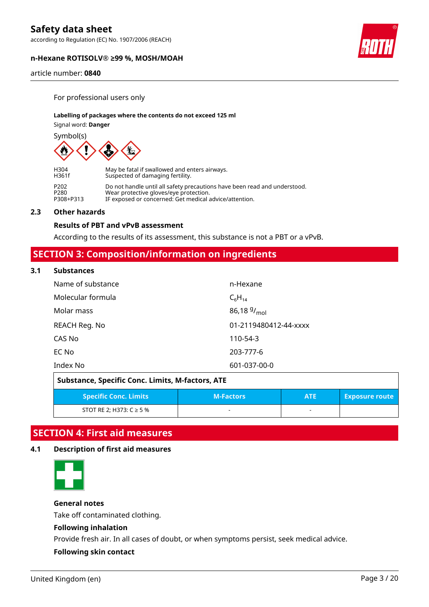according to Regulation (EC) No. 1907/2006 (REACH)

### **n-Hexane ROTISOLV® ≥99 %, MOSH/MOAH**

article number: **0840**

For professional users only

#### **Labelling of packages where the contents do not exceed 125 ml**

Signal word: **Danger**

Symbol(s)



| H304      | May be fatal if swallowed and enters airways.                             |
|-----------|---------------------------------------------------------------------------|
| H361f     | Suspected of damaging fertility.                                          |
| P202      | Do not handle until all safety precautions have been read and understood. |
| P280      | Wear protective gloves/eye protection.                                    |
| P308+P313 | IF exposed or concerned: Get medical advice/attention.                    |

#### **2.3 Other hazards**

## **Results of PBT and vPvB assessment**

According to the results of its assessment, this substance is not a PBT or a vPvB.

# **SECTION 3: Composition/information on ingredients**

#### **3.1 Substances**

| Name of substance | n-Hexane              |
|-------------------|-----------------------|
| Molecular formula | $C_6H_{14}$           |
| Molar mass        | 86,18 $9/_{mol}$      |
| REACH Reg. No     | 01-2119480412-44-xxxx |
| CAS No            | 110-54-3              |
| EC No             | 203-777-6             |
| Index No          | 601-037-00-0          |

| Substance, Specific Conc. Limits, M-factors, ATE |                  |            |                       |  |
|--------------------------------------------------|------------------|------------|-----------------------|--|
| <b>Specific Conc. Limits</b>                     | <b>M-Factors</b> | <b>ATE</b> | <b>Exposure route</b> |  |
| STOT RE 2; H373: $C \ge 5$ %                     | -                |            |                       |  |

# **SECTION 4: First aid measures**

### **4.1 Description of first aid measures**



### **General notes**

Take off contaminated clothing.

# **Following inhalation**

Provide fresh air. In all cases of doubt, or when symptoms persist, seek medical advice.

### **Following skin contact**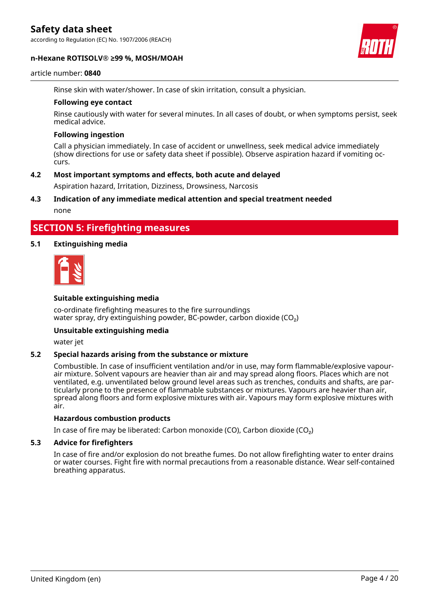according to Regulation (EC) No. 1907/2006 (REACH)

#### **n-Hexane ROTISOLV® ≥99 %, MOSH/MOAH**



#### article number: **0840**

Rinse skin with water/shower. In case of skin irritation, consult a physician.

#### **Following eye contact**

Rinse cautiously with water for several minutes. In all cases of doubt, or when symptoms persist, seek medical advice.

#### **Following ingestion**

Call a physician immediately. In case of accident or unwellness, seek medical advice immediately (show directions for use or safety data sheet if possible). Observe aspiration hazard if vomiting occurs.

### **4.2 Most important symptoms and effects, both acute and delayed**

Aspiration hazard, Irritation, Dizziness, Drowsiness, Narcosis

### **4.3 Indication of any immediate medical attention and special treatment needed**

none

# **SECTION 5: Firefighting measures**

#### **5.1 Extinguishing media**



#### **Suitable extinguishing media**

co-ordinate firefighting measures to the fire surroundings water spray, dry extinguishing powder, BC-powder, carbon dioxide  $(CO<sub>2</sub>)$ 

#### **Unsuitable extinguishing media**

water jet

### **5.2 Special hazards arising from the substance or mixture**

Combustible. In case of insufficient ventilation and/or in use, may form flammable/explosive vapourair mixture. Solvent vapours are heavier than air and may spread along floors. Places which are not ventilated, e.g. unventilated below ground level areas such as trenches, conduits and shafts, are particularly prone to the presence of flammable substances or mixtures. Vapours are heavier than air, spread along floors and form explosive mixtures with air. Vapours may form explosive mixtures with air.

#### **Hazardous combustion products**

In case of fire may be liberated: Carbon monoxide (CO), Carbon dioxide (CO₂)

#### **5.3 Advice for firefighters**

In case of fire and/or explosion do not breathe fumes. Do not allow firefighting water to enter drains or water courses. Fight fire with normal precautions from a reasonable distance. Wear self-contained breathing apparatus.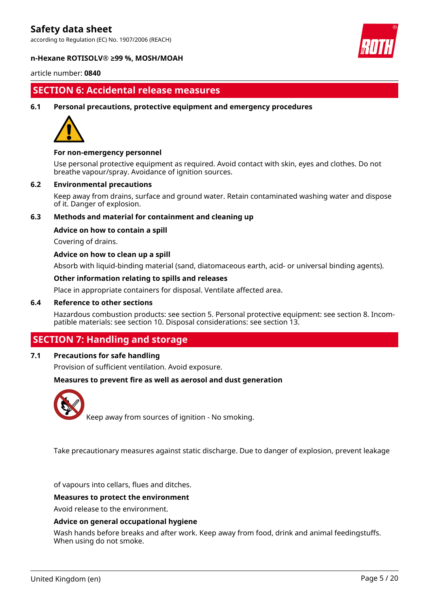according to Regulation (EC) No. 1907/2006 (REACH)



#### **n-Hexane ROTISOLV® ≥99 %, MOSH/MOAH**

article number: **0840**

# **SECTION 6: Accidental release measures**

**6.1 Personal precautions, protective equipment and emergency procedures**



#### **For non-emergency personnel**

Use personal protective equipment as required. Avoid contact with skin, eyes and clothes. Do not breathe vapour/spray. Avoidance of ignition sources.

#### **6.2 Environmental precautions**

Keep away from drains, surface and ground water. Retain contaminated washing water and dispose of it. Danger of explosion.

### **6.3 Methods and material for containment and cleaning up**

#### **Advice on how to contain a spill**

Covering of drains.

#### **Advice on how to clean up a spill**

Absorb with liquid-binding material (sand, diatomaceous earth, acid- or universal binding agents).

#### **Other information relating to spills and releases**

Place in appropriate containers for disposal. Ventilate affected area.

#### **6.4 Reference to other sections**

Hazardous combustion products: see section 5. Personal protective equipment: see section 8. Incompatible materials: see section 10. Disposal considerations: see section 13.

# **SECTION 7: Handling and storage**

## **7.1 Precautions for safe handling**

Provision of sufficient ventilation. Avoid exposure.

#### **Measures to prevent fire as well as aerosol and dust generation**



Keep away from sources of ignition - No smoking.

Take precautionary measures against static discharge. Due to danger of explosion, prevent leakage

of vapours into cellars, flues and ditches.

#### **Measures to protect the environment**

Avoid release to the environment.

#### **Advice on general occupational hygiene**

Wash hands before breaks and after work. Keep away from food, drink and animal feedingstuffs. When using do not smoke.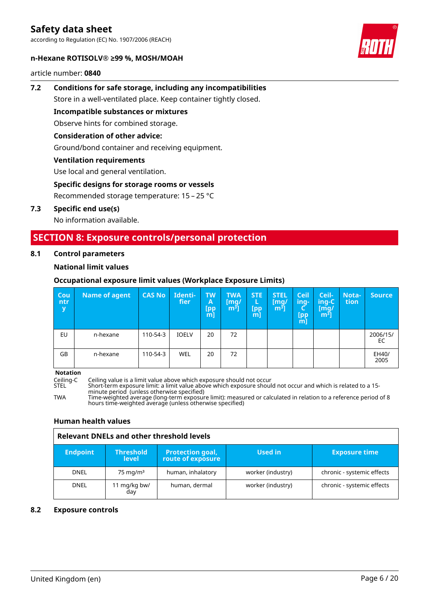according to Regulation (EC) No. 1907/2006 (REACH)



article number: **0840**



# **7.2 Conditions for safe storage, including any incompatibilities**

Store in a well-ventilated place. Keep container tightly closed.

**Incompatible substances or mixtures**

Observe hints for combined storage.

# **Consideration of other advice:**

Ground/bond container and receiving equipment.

# **Ventilation requirements**

Use local and general ventilation.

# **Specific designs for storage rooms or vessels**

Recommended storage temperature: 15 – 25 °C

### **7.3 Specific end use(s)**

No information available.

# **SECTION 8: Exposure controls/personal protection**

### **8.1 Control parameters**

# **National limit values**

# **Occupational exposure limit values (Workplace Exposure Limits)**

| Cou<br>ntr<br>y | Name of agent | <b>CAS No</b> | Identi-<br>fier | <b>TW</b><br>A<br><b>Ipp</b><br>[m] | <b>TWA</b><br>[mg/<br>$m3$ ] | <b>STE</b><br>L<br>[pp<br>m] | <b>STEL</b><br>[mg/<br>$\left[\mathsf{m}^{\mathsf{s}}\right]$ | <b>Ceil</b><br>ing-<br>Ч<br>(pp<br>[m] | Ceil-<br>ing-C<br>/mg/<br>$\mathsf{m}^{\mathsf{s}}$ ไ | <b>Nota-</b><br>tion | Source         |
|-----------------|---------------|---------------|-----------------|-------------------------------------|------------------------------|------------------------------|---------------------------------------------------------------|----------------------------------------|-------------------------------------------------------|----------------------|----------------|
| EU              | n-hexane      | 110-54-3      | <b>IOELV</b>    | 20                                  | 72                           |                              |                                                               |                                        |                                                       |                      | 2006/15/<br>EC |
| GB              | n-hexane      | 110-54-3      | <b>WEL</b>      | 20                                  | 72                           |                              |                                                               |                                        |                                                       |                      | EH40/<br>2005  |

**Notation**

Ceiling-C Ceiling value is a limit value above which exposure should not occur

Short-term exposure limit: a limit value above which exposure should not occur and which is related to a 15minute period (unless otherwise specified)

TWA Time-weighted average (long-term exposure limit): measured or calculated in relation to a reference period of 8 hours time-weighted average (unless otherwise specified)

### **Human health values**

| Relevant DNELs and other threshold levels |                                  |                                              |                   |                            |  |
|-------------------------------------------|----------------------------------|----------------------------------------------|-------------------|----------------------------|--|
| <b>Endpoint</b>                           | <b>Threshold</b><br><b>level</b> | <b>Protection goal,</b><br>route of exposure | Used in           | <b>Exposure time</b>       |  |
| <b>DNEL</b>                               | $75 \text{ mg/m}^3$              | human, inhalatory                            | worker (industry) | chronic - systemic effects |  |
| <b>DNEL</b>                               | 1 mg/kg bw/<br>day               | human, dermal                                | worker (industry) | chronic - systemic effects |  |

# **8.2 Exposure controls**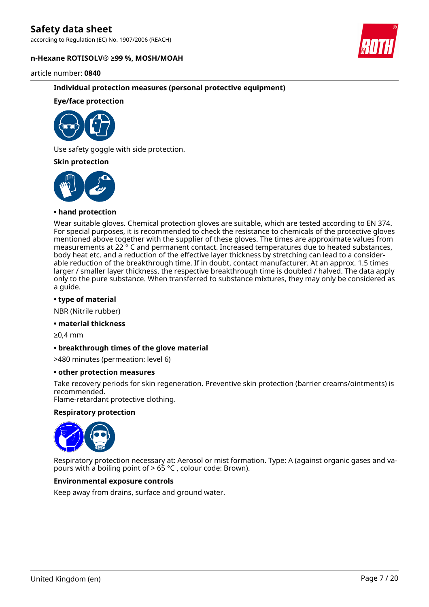according to Regulation (EC) No. 1907/2006 (REACH)

#### **n-Hexane ROTISOLV® ≥99 %, MOSH/MOAH**



article number: **0840**

### **Individual protection measures (personal protective equipment)**

### **Eye/face protection**



Use safety goggle with side protection.

#### **Skin protection**



#### **• hand protection**

Wear suitable gloves. Chemical protection gloves are suitable, which are tested according to EN 374. For special purposes, it is recommended to check the resistance to chemicals of the protective gloves mentioned above together with the supplier of these gloves. The times are approximate values from measurements at 22 ° C and permanent contact. Increased temperatures due to heated substances, body heat etc. and a reduction of the effective layer thickness by stretching can lead to a considerable reduction of the breakthrough time. If in doubt, contact manufacturer. At an approx. 1.5 times larger / smaller layer thickness, the respective breakthrough time is doubled / halved. The data apply only to the pure substance. When transferred to substance mixtures, they may only be considered as a guide.

### **• type of material**

NBR (Nitrile rubber)

#### **• material thickness**

≥0,4 mm

#### **• breakthrough times of the glove material**

>480 minutes (permeation: level 6)

#### **• other protection measures**

Take recovery periods for skin regeneration. Preventive skin protection (barrier creams/ointments) is recommended.

Flame-retardant protective clothing.

#### **Respiratory protection**



Respiratory protection necessary at: Aerosol or mist formation. Type: A (against organic gases and vapours with a boiling point of  $> 65$  °C, colour code: Brown).

### **Environmental exposure controls**

Keep away from drains, surface and ground water.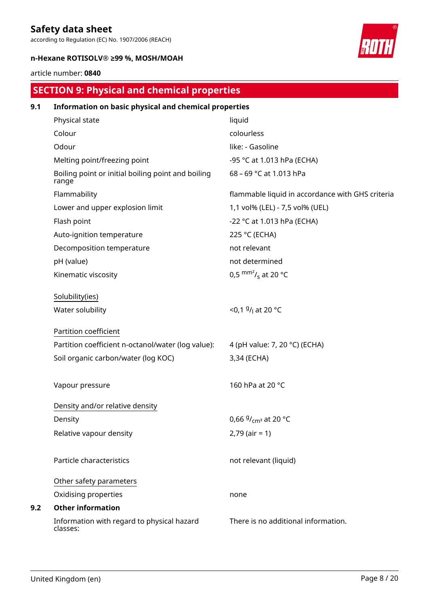according to Regulation (EC) No. 1907/2006 (REACH)

## **n-Hexane ROTISOLV® ≥99 %, MOSH/MOAH**

# article number: **0840**

# **SECTION 9: Physical and chemical properties**

| 9.1 | Information on basic physical and chemical properties       |                                                  |
|-----|-------------------------------------------------------------|--------------------------------------------------|
|     | Physical state                                              | liquid                                           |
|     | Colour                                                      | colourless                                       |
|     | Odour                                                       | like: - Gasoline                                 |
|     | Melting point/freezing point                                | -95 °C at 1.013 hPa (ECHA)                       |
|     | Boiling point or initial boiling point and boiling<br>range | 68 - 69 °C at 1.013 hPa                          |
|     | Flammability                                                | flammable liquid in accordance with GHS criteria |
|     | Lower and upper explosion limit                             | 1,1 vol% (LEL) - 7,5 vol% (UEL)                  |
|     | Flash point                                                 | -22 °C at 1.013 hPa (ECHA)                       |
|     | Auto-ignition temperature                                   | 225 °C (ECHA)                                    |
|     | Decomposition temperature                                   | not relevant                                     |
|     | pH (value)                                                  | not determined                                   |
|     | Kinematic viscosity                                         | 0,5 $\text{mm}^2$ / <sub>s</sub> at 20 °C        |
|     | Solubility(ies)                                             |                                                  |
|     | Water solubility                                            | <0,1 $9/1$ at 20 °C                              |
|     | Partition coefficient                                       |                                                  |
|     | Partition coefficient n-octanol/water (log value):          | 4 (pH value: 7, 20 °C) (ECHA)                    |
|     | Soil organic carbon/water (log KOC)                         | 3,34 (ECHA)                                      |
|     | Vapour pressure                                             | 160 hPa at 20 °C                                 |
|     | Density and/or relative density                             |                                                  |
|     | Density                                                     | 0,66 $9/$ <sub>cm</sub> <sup>3</sup> at 20 °C    |
|     | Relative vapour density                                     | $2,79$ (air = 1)                                 |
|     | Particle characteristics                                    | not relevant (liquid)                            |
|     | Other safety parameters                                     |                                                  |
|     | Oxidising properties                                        | none                                             |
| 9.2 | <b>Other information</b>                                    |                                                  |
|     | Information with regard to physical hazard<br>classes:      | There is no additional information.              |

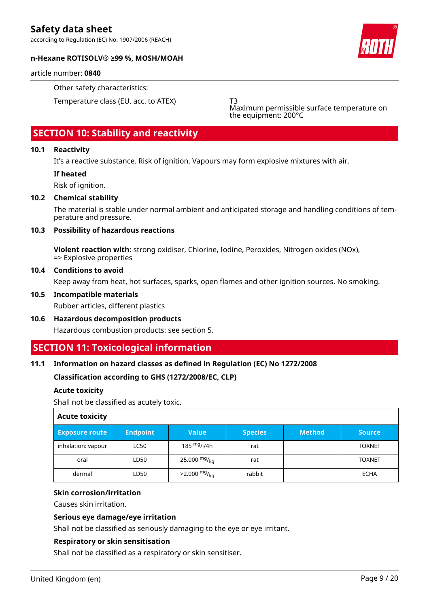according to Regulation (EC) No. 1907/2006 (REACH)



#### **n-Hexane ROTISOLV® ≥99 %, MOSH/MOAH**

article number: **0840**

Other safety characteristics:

Temperature class (EU, acc. to ATEX) T3

Maximum permissible surface temperature on the equipment: 200°C

# **SECTION 10: Stability and reactivity**

### **10.1 Reactivity**

It's a reactive substance. Risk of ignition. Vapours may form explosive mixtures with air.

### **If heated**

Risk of ignition.

#### **10.2 Chemical stability**

The material is stable under normal ambient and anticipated storage and handling conditions of temperature and pressure.

#### **10.3 Possibility of hazardous reactions**

**Violent reaction with:** strong oxidiser, Chlorine, Iodine, Peroxides, Nitrogen oxides (NOx), => Explosive properties

#### **10.4 Conditions to avoid**

Keep away from heat, hot surfaces, sparks, open flames and other ignition sources. No smoking.

#### **10.5 Incompatible materials**

Rubber articles, different plastics

**10.6 Hazardous decomposition products** Hazardous combustion products: see section 5.

# **SECTION 11: Toxicological information**

### **11.1 Information on hazard classes as defined in Regulation (EC) No 1272/2008**

### **Classification according to GHS (1272/2008/EC, CLP)**

### **Acute toxicity**

Shall not be classified as acutely toxic.

| <b>Acute toxicity</b> |                 |                                      |                |               |               |
|-----------------------|-----------------|--------------------------------------|----------------|---------------|---------------|
| <b>Exposure route</b> | <b>Endpoint</b> | <b>Value</b>                         | <b>Species</b> | <b>Method</b> | <b>Source</b> |
| inhalation: vapour    | <b>LC50</b>     | 185 <sup>mg</sup> / <sub>l</sub> /4h | rat            |               | <b>TOXNET</b> |
| oral                  | LD50            | 25.000 $mg/kq$                       | rat            |               | <b>TOXNET</b> |
| dermal                | LD50            | $>2.000$ mg/ <sub>kg</sub>           | rabbit         |               | <b>ECHA</b>   |

#### **Skin corrosion/irritation**

Causes skin irritation.

### **Serious eye damage/eye irritation**

Shall not be classified as seriously damaging to the eye or eye irritant.

### **Respiratory or skin sensitisation**

Shall not be classified as a respiratory or skin sensitiser.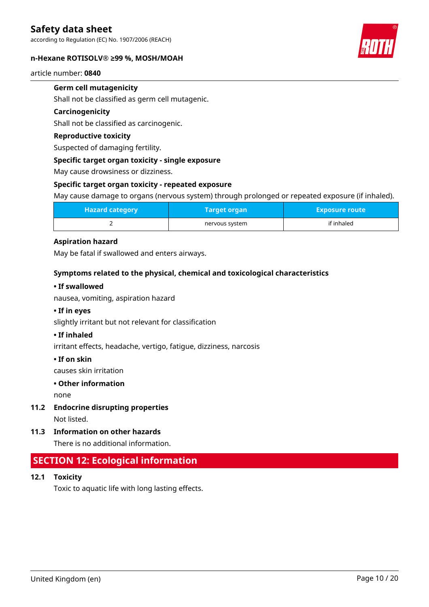according to Regulation (EC) No. 1907/2006 (REACH)

#### **n-Hexane ROTISOLV® ≥99 %, MOSH/MOAH**



article number: **0840**

### **Germ cell mutagenicity**

Shall not be classified as germ cell mutagenic.

#### **Carcinogenicity**

Shall not be classified as carcinogenic.

### **Reproductive toxicity**

Suspected of damaging fertility.

#### **Specific target organ toxicity - single exposure**

May cause drowsiness or dizziness.

#### **Specific target organ toxicity - repeated exposure**

May cause damage to organs (nervous system) through prolonged or repeated exposure (if inhaled).

| <b>Hazard category</b> | Target organ   | <b>Exposure route</b> |
|------------------------|----------------|-----------------------|
|                        | nervous system | if inhaled            |

### **Aspiration hazard**

May be fatal if swallowed and enters airways.

### **Symptoms related to the physical, chemical and toxicological characteristics**

#### **• If swallowed**

nausea, vomiting, aspiration hazard

### **• If in eyes**

slightly irritant but not relevant for classification

#### **• If inhaled**

irritant effects, headache, vertigo, fatigue, dizziness, narcosis

#### **• If on skin**

causes skin irritation

#### **• Other information**

none

**11.2 Endocrine disrupting properties**

Not listed.

**11.3 Information on other hazards**

There is no additional information.

# **SECTION 12: Ecological information**

**12.1 Toxicity**

Toxic to aquatic life with long lasting effects.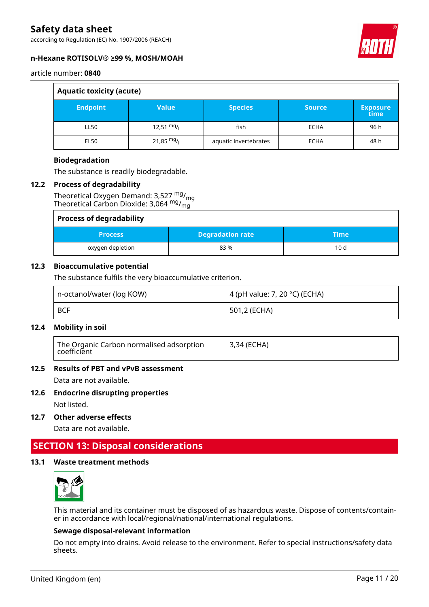according to Regulation (EC) No. 1907/2006 (REACH)



### **n-Hexane ROTISOLV® ≥99 %, MOSH/MOAH**

article number: **0840**

| <b>Aquatic toxicity (acute)</b> |                      |                       |               |                         |  |
|---------------------------------|----------------------|-----------------------|---------------|-------------------------|--|
| <b>Endpoint</b>                 | <b>Value</b>         | <b>Species</b>        | <b>Source</b> | <b>Exposure</b><br>time |  |
| LL50                            | $12,51 \frac{mg}{l}$ | fish                  | <b>ECHA</b>   | 96 h                    |  |
| <b>EL50</b>                     | 21,85 $mg/$          | aquatic invertebrates | <b>ECHA</b>   | 48 h                    |  |

### **Biodegradation**

The substance is readily biodegradable.

### **12.2 Process of degradability**

Theoretical Oxygen Demand: 3,527 mg/<sub>mg</sub> Theoretical Carbon Dioxide: 3,064 mg/<sub>mg</sub>

| <b>Process of degradability</b> |                         |       |  |
|---------------------------------|-------------------------|-------|--|
| <b>Process</b>                  | <b>Degradation rate</b> | :Time |  |
| oxygen depletion                | 83%                     | 10d   |  |

### **12.3 Bioaccumulative potential**

The substance fulfils the very bioaccumulative criterion.

| n-octanol/water (log KOW) | 4 (pH value: 7, 20 °C) (ECHA) |
|---------------------------|-------------------------------|
| <b>BCF</b>                | 501,2 (ECHA)                  |

### **12.4 Mobility in soil**

| The Organic Carbon normalised adsorption<br>coefficient | <sup>1</sup> 3,34 (ECHA) |
|---------------------------------------------------------|--------------------------|
|---------------------------------------------------------|--------------------------|

### **12.5 Results of PBT and vPvB assessment**

Data are not available.

### **12.6 Endocrine disrupting properties**

Not listed.

**12.7 Other adverse effects**

Data are not available.

# **SECTION 13: Disposal considerations**

### **13.1 Waste treatment methods**



This material and its container must be disposed of as hazardous waste. Dispose of contents/container in accordance with local/regional/national/international regulations.

### **Sewage disposal-relevant information**

Do not empty into drains. Avoid release to the environment. Refer to special instructions/safety data sheets.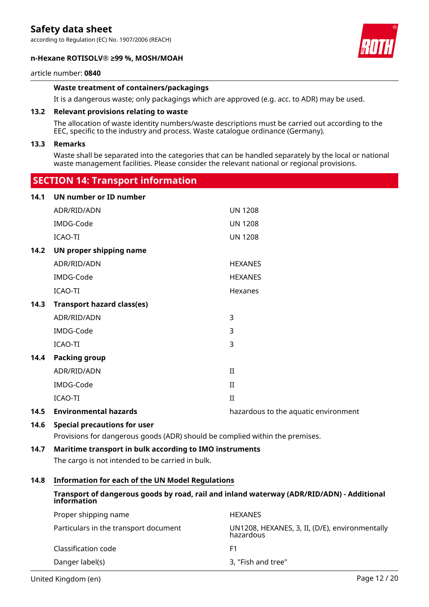according to Regulation (EC) No. 1907/2006 (REACH)

#### **n-Hexane ROTISOLV® ≥99 %, MOSH/MOAH**



#### article number: **0840**

### **Waste treatment of containers/packagings**

It is a dangerous waste; only packagings which are approved (e.g. acc. to ADR) may be used.

#### **13.2 Relevant provisions relating to waste**

 **SECTION 14: Transport information**

The allocation of waste identity numbers/waste descriptions must be carried out according to the EEC, specific to the industry and process. Waste catalogue ordinance (Germany).

#### **13.3 Remarks**

Waste shall be separated into the categories that can be handled separately by the local or national waste management facilities. Please consider the relevant national or regional provisions.

|      | $5$ . The results in the contract of the contract of the contract of the contract of the contract of the contract of the contract of the contract of the contract of the contract of the contract of the contract of the cont |                                      |
|------|-------------------------------------------------------------------------------------------------------------------------------------------------------------------------------------------------------------------------------|--------------------------------------|
| 14.1 | UN number or ID number                                                                                                                                                                                                        |                                      |
|      | ADR/RID/ADN                                                                                                                                                                                                                   | <b>UN 1208</b>                       |
|      | IMDG-Code                                                                                                                                                                                                                     | <b>UN 1208</b>                       |
|      | ICAO-TI                                                                                                                                                                                                                       | <b>UN 1208</b>                       |
| 14.2 | UN proper shipping name                                                                                                                                                                                                       |                                      |
|      | ADR/RID/ADN                                                                                                                                                                                                                   | <b>HEXANES</b>                       |
|      | IMDG-Code                                                                                                                                                                                                                     | <b>HEXANES</b>                       |
|      | ICAO-TI                                                                                                                                                                                                                       | Hexanes                              |
| 14.3 | <b>Transport hazard class(es)</b>                                                                                                                                                                                             |                                      |
|      | ADR/RID/ADN                                                                                                                                                                                                                   | 3                                    |
|      | IMDG-Code                                                                                                                                                                                                                     | 3                                    |
|      | ICAO-TI                                                                                                                                                                                                                       | 3                                    |
| 14.4 | <b>Packing group</b>                                                                                                                                                                                                          |                                      |
|      | ADR/RID/ADN                                                                                                                                                                                                                   | $\rm II$                             |
|      | IMDG-Code                                                                                                                                                                                                                     | $\rm II$                             |
|      | ICAO-TI                                                                                                                                                                                                                       | $\rm II$                             |
| 14.5 | <b>Environmental hazards</b>                                                                                                                                                                                                  | hazardous to the aquatic environment |
|      |                                                                                                                                                                                                                               |                                      |

#### **14.6 Special precautions for user**

Provisions for dangerous goods (ADR) should be complied within the premises.

### **14.7 Maritime transport in bulk according to IMO instruments**

The cargo is not intended to be carried in bulk.

#### **14.8 Information for each of the UN Model Regulations**

### **Transport of dangerous goods by road, rail and inland waterway (ADR/RID/ADN) - Additional information**

| Proper shipping name                  | <b>HEXANES</b>                                              |
|---------------------------------------|-------------------------------------------------------------|
| Particulars in the transport document | UN1208, HEXANES, 3, II, (D/E), environmentally<br>hazardous |
| Classification code                   | F1                                                          |
| Danger label(s)                       | 3, "Fish and tree"                                          |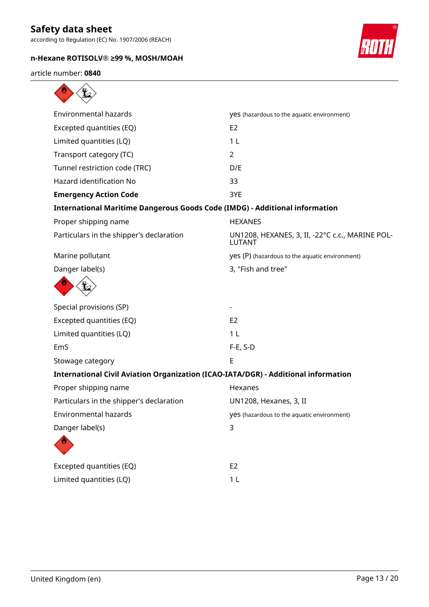according to Regulation (EC) No. 1907/2006 (REACH)

# **n-Hexane ROTISOLV® ≥99 %, MOSH/MOAH**



article number: **0840**

| <b>Environmental hazards</b>                                                       | yes (hazardous to the aquatic environment)                       |
|------------------------------------------------------------------------------------|------------------------------------------------------------------|
| Excepted quantities (EQ)                                                           | E <sub>2</sub>                                                   |
| Limited quantities (LQ)                                                            | 1 <sub>L</sub>                                                   |
| Transport category (TC)                                                            | $\overline{2}$                                                   |
| Tunnel restriction code (TRC)                                                      | D/E                                                              |
| <b>Hazard identification No</b>                                                    | 33                                                               |
| <b>Emergency Action Code</b>                                                       | 3YE                                                              |
| <b>International Maritime Dangerous Goods Code (IMDG) - Additional information</b> |                                                                  |
| Proper shipping name                                                               | <b>HEXANES</b>                                                   |
| Particulars in the shipper's declaration                                           | UN1208, HEXANES, 3, II, -22°C c.c., MARINE POL-<br><b>LUTANT</b> |
| Marine pollutant                                                                   | yes (P) (hazardous to the aquatic environment)                   |
| Danger label(s)                                                                    | 3, "Fish and tree"                                               |
|                                                                                    |                                                                  |
| Special provisions (SP)                                                            |                                                                  |
| Excepted quantities (EQ)                                                           | E <sub>2</sub>                                                   |
| Limited quantities (LQ)                                                            | 1 <sub>L</sub>                                                   |
| EmS                                                                                | $F-E$ , S-D                                                      |
| Stowage category                                                                   | E                                                                |
| International Civil Aviation Organization (ICAO-IATA/DGR) - Additional information |                                                                  |
| Proper shipping name                                                               | Hexanes                                                          |
| Particulars in the shipper's declaration                                           | UN1208, Hexanes, 3, II                                           |
| Environmental hazards                                                              | yes (hazardous to the aquatic environment)                       |
| Danger label(s)                                                                    | 3                                                                |
|                                                                                    |                                                                  |
| Excepted quantities (EQ)                                                           | E <sub>2</sub>                                                   |
| Limited quantities (LQ)                                                            | 1 <sub>L</sub>                                                   |
|                                                                                    |                                                                  |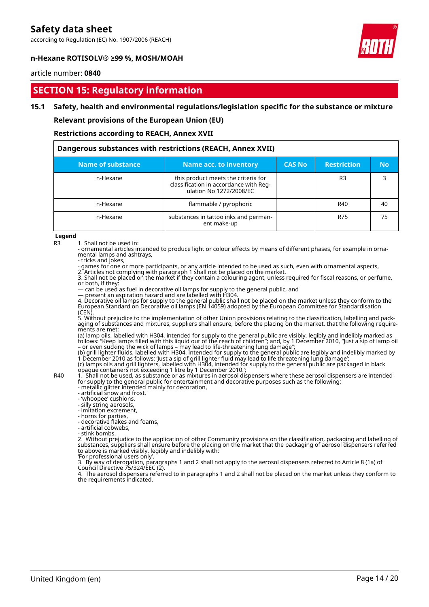according to Regulation (EC) No. 1907/2006 (REACH)



#### **n-Hexane ROTISOLV® ≥99 %, MOSH/MOAH**

#### article number: **0840**

# **SECTION 15: Regulatory information**

#### **15.1 Safety, health and environmental regulations/legislation specific for the substance or mixture**

**Relevant provisions of the European Union (EU)**

**Restrictions according to REACH, Annex XVII**

| Dangerous substances with restrictions (REACH, Annex XVII) |                                                                                                          |               |                    |           |  |
|------------------------------------------------------------|----------------------------------------------------------------------------------------------------------|---------------|--------------------|-----------|--|
| Name of substance                                          | Name acc. to inventory                                                                                   | <b>CAS No</b> | <b>Restriction</b> | <b>No</b> |  |
| n-Hexane                                                   | this product meets the criteria for<br>classification in accordance with Reg-<br>ulation No 1272/2008/EC |               | R <sub>3</sub>     |           |  |
| n-Hexane                                                   | flammable / pyrophoric                                                                                   |               | R40                | 40        |  |
| n-Hexane                                                   | substances in tattoo inks and perman-<br>ent make-up                                                     |               | R75                | 75        |  |

**Legend**

R3 1. Shall not be used in:

- ornamental articles intended to produce light or colour effects by means of different phases, for example in ornamental lamps and ashtrays,

- tricks and jokes,

- games for one or more participants, or any article intended to be used as such, even with ornamental aspects, 2. Articles not complying with paragraph 1 shall not be placed on the market.

3. Shall not be placed on the market if they contain a colouring agent, unless required for fiscal reasons, or perfume, or both, if they:

— can be used as fuel in decorative oil lamps for supply to the general public, and

— present an aspiration hazard and are labelled with H304.

4. Decorative oil lamps for supply to the general public shall not be placed on the market unless they conform to the European Standard on Decorative oil lamps (EN 14059) adopted by the European Committee for Standardisation (CEN).

5. Without prejudice to the implementation of other Union provisions relating to the classification, labelling and packaging of substances and mixtures, suppliers shall ensure, before the placing on the market, that the following requirements are met:

(a) lamp oils, labelled with H304, intended for supply to the general public are visibly, legibly and indelibly marked as follows: "Keep lamps filled with this liquid out of the reach of children"; and, by 1 December 2010, "Just a sip of lamp oil – or even sucking the wick of lamps – may lead to life-threatening lung damage";

(b) grill lighter fluids, labelled with H304, intended for supply to the general public are legibly and indelibly marked by 1 December 2010 as follows: 'Just a sip of grill lighter fluid may lead to life threatening lung damage'; (c) lamps oils and grill lighters, labelled with H304, intended for supply to the general public are packaged in black opaque containers not exceeding 1 litre by 1 December 2010.';

R40 1. Shall not be used, as substance or as mixtures in aerosol dispensers where these aerosol dispensers are intended for supply to the general public for entertainment and decorative purposes such as the following:

- metallic glitter intended mainly for decoration, - artificial snow and frost,

- 'whoopee' cushions,

- silly string aerosols,

- imitation excrement,

- horns for parties,

- decorative flakes and foams,

- artificial cobwebs,

- stink bombs.

2. Without prejudice to the application of other Community provisions on the classification, packaging and labelling of substances, suppliers shall ensure before the placing on the market that the packaging of aerosol dispensers referred to above is marked visibly, legibly and indelibly with:

'For professional users only'.

3. By way of derogation, paragraphs 1 and 2 shall not apply to the aerosol dispensers referred to Article 8 (1a) of Council Directive 75/324/EEC (2).

4. The aerosol dispensers referred to in paragraphs 1 and 2 shall not be placed on the market unless they conform to the requirements indicated.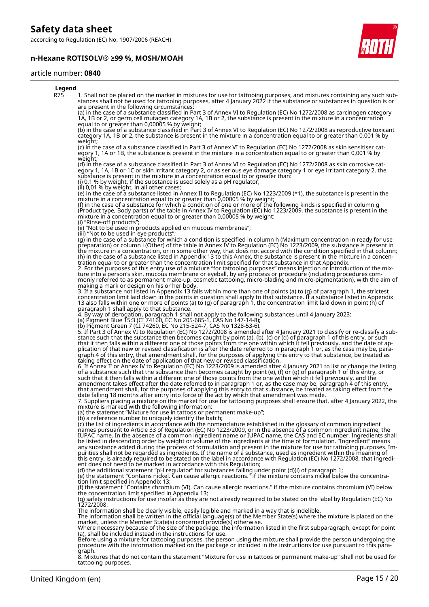according to Regulation (EC) No. 1907/2006 (REACH)

# **n-Hexane ROTISOLV® ≥99 %, MOSH/MOAH**



#### article number: **0840**

| Legend     |                                                                                                                                                                                                                                                                                                                                                                                                                                                                                                                                                                                                                                                                                                                                                                                                                                                                                                                                                                                                                                                                               |
|------------|-------------------------------------------------------------------------------------------------------------------------------------------------------------------------------------------------------------------------------------------------------------------------------------------------------------------------------------------------------------------------------------------------------------------------------------------------------------------------------------------------------------------------------------------------------------------------------------------------------------------------------------------------------------------------------------------------------------------------------------------------------------------------------------------------------------------------------------------------------------------------------------------------------------------------------------------------------------------------------------------------------------------------------------------------------------------------------|
| <b>R75</b> | 1. Shall not be placed on the market in mixtures for use for tattooing purposes, and mixtures containing any such sub-<br>stances shall not be used for tattooing purposes, after 4 January 2022 if the substance or substances in question is or<br>are present in the following circumstances:                                                                                                                                                                                                                                                                                                                                                                                                                                                                                                                                                                                                                                                                                                                                                                              |
|            | (a) in the case of a substance classified in Part 3 of Annex VI to Regulation (EC) No 1272/2008 as carcinogen category<br>1A, 1B or 2, or germ cell mutagen category 1A, 1B or 2, the substance is present in the mixture in a concentration<br>equal to or greater than 0,00005 % by weight;                                                                                                                                                                                                                                                                                                                                                                                                                                                                                                                                                                                                                                                                                                                                                                                 |
|            | (b) in the case of a substance classified in Part 3 of Annex VI to Regulation (EC) No 1272/2008 as reproductive toxicant<br>category 1A, 1B or 2, the substance is present in the mixture in a concentration equal to or greater than 0,001 % by                                                                                                                                                                                                                                                                                                                                                                                                                                                                                                                                                                                                                                                                                                                                                                                                                              |
|            | weight;<br>(c) in the case of a substance classified in Part 3 of Annex VI to Regulation (EC) No 1272/2008 as skin sensitiser cat-<br>egory 1, 1A or 1B, the substance is present in the mixture in a concentration egual to or greater than 0,001 % by<br>weight;                                                                                                                                                                                                                                                                                                                                                                                                                                                                                                                                                                                                                                                                                                                                                                                                            |
|            | (d) in the case of a substance classified in Part 3 of Annex VI to Regulation (EC) No 1272/2008 as skin corrosive cat-<br>egory 1, 1A, 1B or 1C or skin irritant category 2, or as serious eye damage category 1 or eye irritant category 2, the<br>substance is present in the mixture in a concentration equal to or greater than:<br>(i) 0,1 % by weight, if the substance is used solely as a pH regulator;<br>(ii) 0,01 % by weight, in all other cases;                                                                                                                                                                                                                                                                                                                                                                                                                                                                                                                                                                                                                 |
|            | (e) in the case of a substance listed in Annex II to Regulation (EC) No 1223/2009 (*1), the substance is present in the<br>mixture in a concentration equal to or greater than 0,00005 % by weight;<br>(f) in the case of a substance for which a condition of one or more of the following kinds is specified in column g<br>(Product type, Body parts) of the table in Annex IV to Regulation (EC) No 1223/2009, the substance is present in the<br>mixture in a concentration equal to or greater than 0,00005 % by weight:                                                                                                                                                                                                                                                                                                                                                                                                                                                                                                                                                |
|            | (i) "Rinse-off products";<br>(ii) "Not to be used in products applied on mucous membranes";                                                                                                                                                                                                                                                                                                                                                                                                                                                                                                                                                                                                                                                                                                                                                                                                                                                                                                                                                                                   |
|            | (iii) "Not to be used in eye products";<br>(g) in the case of a substance for which a condition is specified in column h (Maximum concentration in ready for use<br>preparation) or column i (Other) of the table in Annex IV to Regulation (EC) No 1223/2009, the substance is present in<br>the mixture in a concentration, or in some other way, that does not accord with the condition specified in that column;<br>(h) in the case of a substance listed in Appendix 13 to this Annex, the substance is present in the mixture in a concen-<br>tration equal to or greater than the concentration limit specified for that substance in that Appendix.<br>2. For the purposes of this entry use of a mixture "for tattooing purposes" means injection or introduction of the mix-<br>ture into a person's skin, mucous membrane or eyeball, by any process or procedure (including procedures com-<br>monly referred to as permanent make-up, cosmetic tattooing, micro-blading and micro-pigmentation), with the aim of<br>making a mark or design on his or her body. |
|            | 3. If a substance not listed in Appendix 13 falls within more than one of points (a) to (g) of paragraph 1, the strictest<br>concentration limit laid down in the points in question shall apply to that substance. If a substance listed in Appendix<br>13 also falls within one or more of points (a) to (g) of paragraph 1, the concentration limit laid down in point (h) of<br>paragraph 1 shall apply to that substance.                                                                                                                                                                                                                                                                                                                                                                                                                                                                                                                                                                                                                                                |
|            | 4. By way of derogation, paragraph 1 shall not apply to the following substances until 4 January 2023:<br>(a) Pigment Blue 15:3 (CI 74160, EC No 205-685-1, CAS No 147-14-8);                                                                                                                                                                                                                                                                                                                                                                                                                                                                                                                                                                                                                                                                                                                                                                                                                                                                                                 |
|            | (b) Pigment Green 7 (CI 74260, EC No 215-524-7, CAS No 1328-53-6).                                                                                                                                                                                                                                                                                                                                                                                                                                                                                                                                                                                                                                                                                                                                                                                                                                                                                                                                                                                                            |
|            | 5. If Part 3 of Annex VI to Regulation (EC) No 1272/2008 is amended after 4 January 2021 to classify or re-classify a sub-<br>stance such that the substance then becomes caught by point (a), (b), (c) or (d) of paragraph 1 of this entry, or such<br>that it then falls within a different one of those points from the one within which it fell previously, and the date of ap-<br>plication of that new or revised classification is after the date referred to in paragraph 1 or, as the case may be, para-<br>graph 4 of this entry, that amendment shall, for the purposes of applying this entry to that substance, be treated as<br>taking effect on the date of application of that new or revised classification.                                                                                                                                                                                                                                                                                                                                                 |
|            | 6. If Annex II or Annex IV to Regulation (EC) No 1223/2009 is amended after 4 January 2021 to list or change the listing<br>of a substance such that the substance then becomes caught by point (e), (f) or (g) of paragraph 1 of this entry, or<br>such that it then falls within a different one of those points from the one within which it fell previously, and the<br>amendment takes effect after the date referred to in paragraph 1 or, as the case may be, paragraph 4 of this entry,<br>that amendment shall, for the purposes of applying this entry to that substance, be treated as taking effect from the<br>date falling 18 months after entry into force of the act by which that amendment was made.<br>7. Suppliers placing a mixture on the market for use for tattooing purposes shall ensure that, after 4 January 2022, the<br>mixture is marked with the following information:                                                                                                                                                                       |
|            | (a) the statement "Mixture for use in tattoos or permanent make-up";<br>(b) a reference number to uniquely identify the batch;                                                                                                                                                                                                                                                                                                                                                                                                                                                                                                                                                                                                                                                                                                                                                                                                                                                                                                                                                |
|            | (c) the list of ingredients in accordance with the nomenclature established in the glossary of common ingredient<br>names pursuant to Article 33 of Regulation (EC) No 1223/2009, or in the absence of a common ingredient name, the<br>IUPAC name. In the absence of a common ingredient name or IUPAC name, the CAS and EC number. Ingredients shall<br>be listed in descending order by weight or volume of the ingredients at the time of formulation. "Ingredient" means<br>any substance added during the process of formulation and present in the mixture for use for tattooing purposes. Im-<br>purities shall not be regarded as ingredients. If the name of a substance, used as ingredient within the meaning of<br>this entry, is already required to be stated on the label in accordance with Regulation (EC) No 1272/2008, that ingredi-<br>ent does not need to be marked in accordance with this Regulation;                                                                                                                                                |
|            | (d) the additional statement "pH regulator" for substances falling under point (d)(i) of paragraph 1;<br>(e) the statement "Contains nickel. Can cause allergic reactions." if the mixture contains nickel below the concentra-<br>tion limit specified in Appendix 13;                                                                                                                                                                                                                                                                                                                                                                                                                                                                                                                                                                                                                                                                                                                                                                                                       |
|            | (f) the statement "Contains chromium (VI). Can cause allergic reactions." if the mixture contains chromium (VI) below<br>the concentration limit specified in Appendix 13;<br>(g) safety instructions for use insofar as they are not already required to be stated on the label by Regulation (EC) No<br>1272/2008.                                                                                                                                                                                                                                                                                                                                                                                                                                                                                                                                                                                                                                                                                                                                                          |
|            | The information shall be clearly visible, easily legible and marked in a way that is indelible.<br>The information shall be written in the official language(s) of the Member State(s) where the mixture is placed on the<br>market, unless the Member State(s) concerned provide(s) otherwise.                                                                                                                                                                                                                                                                                                                                                                                                                                                                                                                                                                                                                                                                                                                                                                               |
|            | Where necessary because of the size of the package, the information listed in the first subparagraph, except for point<br>(a), shall be included instead in the instructions for use.                                                                                                                                                                                                                                                                                                                                                                                                                                                                                                                                                                                                                                                                                                                                                                                                                                                                                         |
|            | Before using a mixture for tattooing purposes, the person using the mixture shall provide the person undergoing the<br>procedure with the information marked on the package or included in the instructions for use pursuant to t<br>graph.<br>et contain the statement "Mixture for use in tottoos ar normanent make un" shall not be used for                                                                                                                                                                                                                                                                                                                                                                                                                                                                                                                                                                                                                                                                                                                               |

8. Mixtures that do not contain the statement "Mixture for use in tattoos or permanent make-up" shall not be used for tattooing purposes.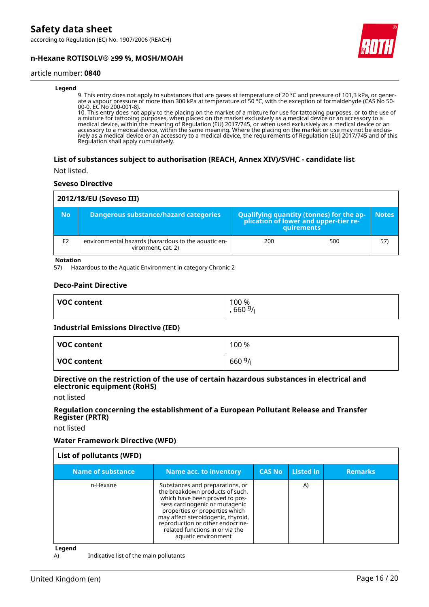according to Regulation (EC) No. 1907/2006 (REACH)





#### article number: **0840**

#### **Legend**

9. This entry does not apply to substances that are gases at temperature of 20 °C and pressure of 101,3 kPa, or generate a vapour pressure of more than 300 kPa at temperature of 50 °C, with the exception of formaldehyde (CAS No 50- 00-0, EC No 200-001-8).

10. This entry does not apply to the placing on the market of a mixture for use for tattooing purposes, or to the use of a mixture for tattooing purposes, when placed on the market exclusively as a medical device or an accessory to a medical device, within the meaning of Regulation (EU) 2017/745, or when used exclusively as a medical device or an accessory to a medical device, within the same meaning. Where the placing on the market or use may not be exclusively as a medical device or an accessory to a medical device, the requirements of Regulation (EU) 2017/745 and of this Regulation shall apply cumulatively.

#### **List of substances subject to authorisation (REACH, Annex XIV)/SVHC - candidate list**

Not listed.

#### **Seveso Directive**

| 2012/18/EU (Seveso III) |                                                                           |                                                                                            |     |              |  |
|-------------------------|---------------------------------------------------------------------------|--------------------------------------------------------------------------------------------|-----|--------------|--|
| <b>No</b>               | Dangerous substance/hazard categories                                     | Qualifying quantity (tonnes) for the application of lower and upper-tier re-<br>quirements |     | <b>Notes</b> |  |
| E <sub>2</sub>          | environmental hazards (hazardous to the aquatic en-<br>vironment, cat. 2) | 200                                                                                        | 500 | 57)          |  |

**Notation**

57) Hazardous to the Aquatic Environment in category Chronic 2

#### **Deco-Paint Directive**

| <b>VOC content</b> | 100 %<br>660 $9/1$ |
|--------------------|--------------------|
|                    |                    |

#### **Industrial Emissions Directive (IED)**

| VOC content | 100 %  |
|-------------|--------|
| VOC content | 6609/1 |

#### **Directive on the restriction of the use of certain hazardous substances in electrical and electronic equipment (RoHS)**

not listed

#### **Regulation concerning the establishment of a European Pollutant Release and Transfer Register (PRTR)**

not listed

#### **Water Framework Directive (WFD)**

| List of pollutants (WFD) |                                                                                                                                                                                                                                                                                                              |               |           |                |
|--------------------------|--------------------------------------------------------------------------------------------------------------------------------------------------------------------------------------------------------------------------------------------------------------------------------------------------------------|---------------|-----------|----------------|
| Name of substance        | <b>Name acc. to inventory</b>                                                                                                                                                                                                                                                                                | <b>CAS No</b> | Listed in | <b>Remarks</b> |
| n-Hexane                 | Substances and preparations, or<br>the breakdown products of such,<br>which have been proved to pos-<br>sess carcinogenic or mutagenic<br>properties or properties which<br>may affect steroidogenic, thyroid,<br>reproduction or other endocrine-<br>related functions in or via the<br>aquatic environment |               | A)        |                |

**Legend**

A) Indicative list of the main pollutants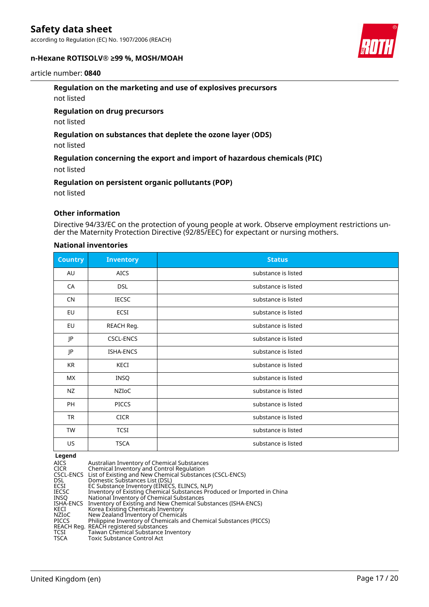according to Regulation (EC) No. 1907/2006 (REACH)

#### **n-Hexane ROTISOLV® ≥99 %, MOSH/MOAH**



# **Regulation on the marketing and use of explosives precursors**

not listed

#### **Regulation on drug precursors**

not listed

### **Regulation on substances that deplete the ozone layer (ODS)**

not listed

### **Regulation concerning the export and import of hazardous chemicals (PIC)**

not listed

#### **Regulation on persistent organic pollutants (POP)**

not listed

### **Other information**

Directive 94/33/EC on the protection of young people at work. Observe employment restrictions under the Maternity Protection Directive (92/85/EEC) for expectant or nursing mothers.

#### **National inventories**

| <b>Country</b> | <b>Inventory</b> | <b>Status</b>       |
|----------------|------------------|---------------------|
| AU             | <b>AICS</b>      | substance is listed |
| CA             | <b>DSL</b>       | substance is listed |
| <b>CN</b>      | <b>IECSC</b>     | substance is listed |
| EU             | ECSI             | substance is listed |
| EU             | REACH Reg.       | substance is listed |
| JP             | <b>CSCL-ENCS</b> | substance is listed |
| JP             | ISHA-ENCS        | substance is listed |
| KR             | KECI             | substance is listed |
| <b>MX</b>      | INSQ             | substance is listed |
| <b>NZ</b>      | NZIoC            | substance is listed |
| PH             | <b>PICCS</b>     | substance is listed |
| <b>TR</b>      | <b>CICR</b>      | substance is listed |
| TW             | <b>TCSI</b>      | substance is listed |
| US             | <b>TSCA</b>      | substance is listed |

#### **Legend**

| AICS  | Australian Inventory of Chemical Substances                             |
|-------|-------------------------------------------------------------------------|
| CICR  | Chemical Inventory and Control Regulation                               |
|       | CSCL-ENCS List of Existing and New Chemical Substances (CSCL-ENCS)      |
| DSL.  | Domestic Substances List (DSL)                                          |
| ECSI  | EC Substance Inventory (EINECS, ELINCS, NLP)                            |
| IECSC | Inventory of Existing Chemical Substances Produced or Imported in China |
| INSO  | National Inventory of Chemical Substances                               |
|       | ISHA-ENCS Inventory of Existing and New Chemical Substances (ISHA-ENCS) |
| KECI  | Korea Existing Chemicals Inventory                                      |
| NZIoC | New Zealand Inventory of Chemicals                                      |
| PICCS | Philippine Inventory of Chemicals and Chemical Substances (PICCS)       |
|       | REACH Reg. REACH registered substances                                  |
| TCSI  | Taiwan Chemical Substance Inventory                                     |
| TSCA  | Toxic Substance Control Act                                             |
|       |                                                                         |

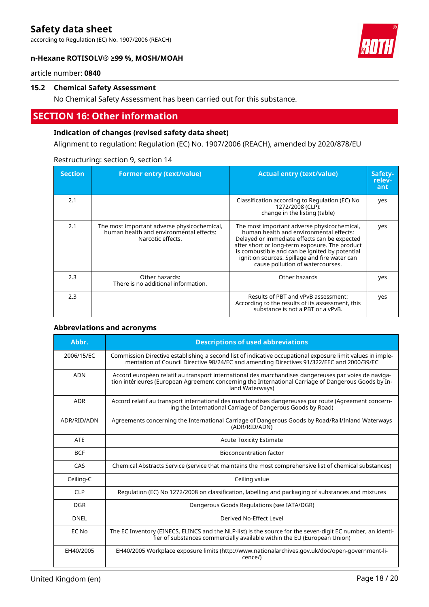according to Regulation (EC) No. 1907/2006 (REACH)

### **n-Hexane ROTISOLV® ≥99 %, MOSH/MOAH**



article number: **0840**

#### **15.2 Chemical Safety Assessment**

No Chemical Safety Assessment has been carried out for this substance.

# **SECTION 16: Other information**

### **Indication of changes (revised safety data sheet)**

Alignment to regulation: Regulation (EC) No. 1907/2006 (REACH), amended by 2020/878/EU

| <b>Section</b> | <b>Former entry (text/value)</b>                                                                            | <b>Actual entry (text/value)</b>                                                                                                                                                                                                                                                                                                | Safety-<br>relev-<br>ant |
|----------------|-------------------------------------------------------------------------------------------------------------|---------------------------------------------------------------------------------------------------------------------------------------------------------------------------------------------------------------------------------------------------------------------------------------------------------------------------------|--------------------------|
| 2.1            |                                                                                                             | Classification according to Regulation (EC) No<br>1272/2008 (CLP):<br>change in the listing (table)                                                                                                                                                                                                                             | yes                      |
| 2.1            | The most important adverse physicochemical,<br>human health and environmental effects:<br>Narcotic effects. | The most important adverse physicochemical,<br>human health and environmental effects:<br>Delayed or immediate effects can be expected<br>after short or long-term exposure. The product<br>is combustible and can be ignited by potential<br>ignition sources. Spillage and fire water can<br>cause pollution of watercourses. | yes                      |
| 2.3            | Other hazards:<br>There is no additional information.                                                       | Other hazards                                                                                                                                                                                                                                                                                                                   | yes                      |
| 2.3            |                                                                                                             | Results of PBT and vPvB assessment:<br>According to the results of its assessment, this<br>substance is not a PBT or a vPvB.                                                                                                                                                                                                    | yes                      |

### Restructuring: section 9, section 14

#### **Abbreviations and acronyms**

| Abbr.       | <b>Descriptions of used abbreviations</b>                                                                                                                                                                                       |  |
|-------------|---------------------------------------------------------------------------------------------------------------------------------------------------------------------------------------------------------------------------------|--|
| 2006/15/EC  | Commission Directive establishing a second list of indicative occupational exposure limit values in imple-<br>mentation of Council Directive 98/24/EC and amending Directives 91/322/EEC and 2000/39/EC                         |  |
| <b>ADN</b>  | Accord européen relatif au transport international des marchandises dangereuses par voies de naviga-<br>tion intérieures (European Agreement concerning the International Carriage of Dangerous Goods by In-<br>land Waterways) |  |
| ADR         | Accord relatif au transport international des marchandises dangereuses par route (Agreement concern-<br>ing the International Carriage of Dangerous Goods by Road)                                                              |  |
| ADR/RID/ADN | Agreements concerning the International Carriage of Dangerous Goods by Road/Rail/Inland Waterways<br>(ADR/RID/ADN)                                                                                                              |  |
| <b>ATF</b>  | <b>Acute Toxicity Estimate</b>                                                                                                                                                                                                  |  |
| <b>BCF</b>  | Bioconcentration factor                                                                                                                                                                                                         |  |
| CAS         | Chemical Abstracts Service (service that maintains the most comprehensive list of chemical substances)                                                                                                                          |  |
| Ceiling-C   | Ceiling value                                                                                                                                                                                                                   |  |
| CIP         | Regulation (EC) No 1272/2008 on classification, labelling and packaging of substances and mixtures                                                                                                                              |  |
| <b>DGR</b>  | Dangerous Goods Regulations (see IATA/DGR)                                                                                                                                                                                      |  |
| <b>DNEL</b> | Derived No-Effect Level                                                                                                                                                                                                         |  |
| EC No       | The EC Inventory (EINECS, ELINCS and the NLP-list) is the source for the seven-digit EC number, an identi-<br>fier of substances commercially available within the EU (European Union)                                          |  |
| EH40/2005   | EH40/2005 Workplace exposure limits (http://www.nationalarchives.gov.uk/doc/open-government-li-<br>cence/)                                                                                                                      |  |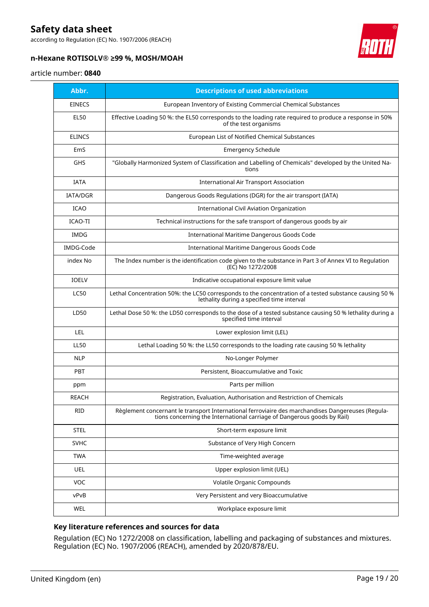according to Regulation (EC) No. 1907/2006 (REACH)



# **n-Hexane ROTISOLV® ≥99 %, MOSH/MOAH**

### article number: **0840**

| Abbr.           | <b>Descriptions of used abbreviations</b>                                                                                                                                    |  |
|-----------------|------------------------------------------------------------------------------------------------------------------------------------------------------------------------------|--|
| <b>EINECS</b>   | European Inventory of Existing Commercial Chemical Substances                                                                                                                |  |
| <b>EL50</b>     | Effective Loading 50 %: the EL50 corresponds to the loading rate required to produce a response in 50%<br>of the test organisms                                              |  |
| <b>ELINCS</b>   | European List of Notified Chemical Substances                                                                                                                                |  |
| EmS             | <b>Emergency Schedule</b>                                                                                                                                                    |  |
| <b>GHS</b>      | "Globally Harmonized System of Classification and Labelling of Chemicals" developed by the United Na-<br>tions                                                               |  |
| <b>IATA</b>     | <b>International Air Transport Association</b>                                                                                                                               |  |
| <b>IATA/DGR</b> | Dangerous Goods Regulations (DGR) for the air transport (IATA)                                                                                                               |  |
| <b>ICAO</b>     | <b>International Civil Aviation Organization</b>                                                                                                                             |  |
| ICAO-TI         | Technical instructions for the safe transport of dangerous goods by air                                                                                                      |  |
| IMDG            | International Maritime Dangerous Goods Code                                                                                                                                  |  |
| IMDG-Code       | International Maritime Dangerous Goods Code                                                                                                                                  |  |
| index No        | The Index number is the identification code given to the substance in Part 3 of Annex VI to Regulation<br>(EC) No 1272/2008                                                  |  |
| <b>IOELV</b>    | Indicative occupational exposure limit value                                                                                                                                 |  |
| <b>LC50</b>     | Lethal Concentration 50%: the LC50 corresponds to the concentration of a tested substance causing 50 %<br>lethality during a specified time interval                         |  |
| LD50            | Lethal Dose 50 %: the LD50 corresponds to the dose of a tested substance causing 50 % lethality during a<br>specified time interval                                          |  |
| LEL             | Lower explosion limit (LEL)                                                                                                                                                  |  |
| <b>LL50</b>     | Lethal Loading 50 %: the LL50 corresponds to the loading rate causing 50 % lethality                                                                                         |  |
| <b>NLP</b>      | No-Longer Polymer                                                                                                                                                            |  |
| <b>PBT</b>      | Persistent, Bioaccumulative and Toxic                                                                                                                                        |  |
| ppm             | Parts per million                                                                                                                                                            |  |
| <b>REACH</b>    | Registration, Evaluation, Authorisation and Restriction of Chemicals                                                                                                         |  |
| <b>RID</b>      | Règlement concernant le transport International ferroviaire des marchandises Dangereuses (Regula-<br>tions concerning the International carriage of Dangerous goods by Rail) |  |
| <b>STEL</b>     | Short-term exposure limit                                                                                                                                                    |  |
| <b>SVHC</b>     | Substance of Very High Concern                                                                                                                                               |  |
| <b>TWA</b>      | Time-weighted average                                                                                                                                                        |  |
| <b>UEL</b>      | Upper explosion limit (UEL)                                                                                                                                                  |  |
| <b>VOC</b>      | Volatile Organic Compounds                                                                                                                                                   |  |
| vPvB            | Very Persistent and very Bioaccumulative                                                                                                                                     |  |
| WEL             | Workplace exposure limit                                                                                                                                                     |  |

### **Key literature references and sources for data**

Regulation (EC) No 1272/2008 on classification, labelling and packaging of substances and mixtures. Regulation (EC) No. 1907/2006 (REACH), amended by 2020/878/EU.